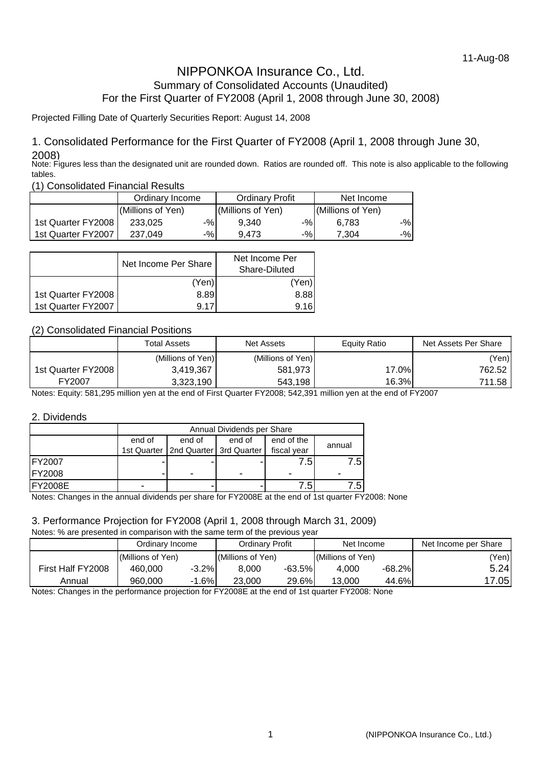# NIPPONKOA Insurance Co., Ltd. Summary of Consolidated Accounts (Unaudited) For the First Quarter of FY2008 (April 1, 2008 through June 30, 2008)

#### Projected Filling Date of Quarterly Securities Report: August 14, 2008

### 1. Consolidated Performance for the First Quarter of FY2008 (April 1, 2008 through June 30, 2008)

Note: Figures less than the designated unit are rounded down. Ratios are rounded off. This note is also applicable to the following tables.

(1) Consolidated Financial Results

|                    | Ordinary Income   |     | <b>Ordinary Profit</b> |       | Net Income        |    |
|--------------------|-------------------|-----|------------------------|-------|-------------------|----|
|                    | (Millions of Yen) |     | (Millions of Yen)      |       | (Millions of Yen) |    |
| 1st Quarter FY2008 | 233.025           | -%l | 9.340                  | -%l   | 6.783             | -% |
| 1st Quarter FY2007 | 237.049           | -%l | 9.473                  | $-$ % | 7.304             | -% |

|                    | Net Income Per Share | Net Income Per<br>Share-Diluted |  |
|--------------------|----------------------|---------------------------------|--|
|                    | (Yen)                | (Yen)                           |  |
| 1st Quarter FY2008 | 8.89                 | 8.88                            |  |
| 1st Quarter FY2007 | 9.17                 | 9.16                            |  |

### (2) Consolidated Financial Positions

|                    | <b>Total Assets</b> | <b>Net Assets</b> | Equity Ratio | Net Assets Per Share |
|--------------------|---------------------|-------------------|--------------|----------------------|
|                    | (Millions of Yen)   | (Millions of Yen) |              | (Yen)                |
| 1st Quarter FY2008 | 3,419,367           | 581,973           | 17.0%        | 762.52               |
| FY2007             | 3,323,190           | 543,198           | 16.3%        | 711.58               |

Notes: Equity: 581,295 million yen at the end of First Quarter FY2008; 542,391 million yen at the end of FY2007

#### 2. Dividends

|                | Annual Dividends per Share |                                         |        |             |              |  |  |  |
|----------------|----------------------------|-----------------------------------------|--------|-------------|--------------|--|--|--|
|                | end of                     | end of                                  | end of | end of the  | annual       |  |  |  |
|                |                            | 1st Quarter   2nd Quarter   3rd Quarter |        | fiscal year |              |  |  |  |
| <b>FY2007</b>  |                            |                                         |        | ا 5.        | 7.5I         |  |  |  |
| <b>IFY2008</b> |                            | ۰                                       |        |             |              |  |  |  |
| <b>FY2008E</b> | -                          |                                         |        | 7.5         | $.5^{\circ}$ |  |  |  |

Notes: Changes in the annual dividends per share for FY2008E at the end of 1st quarter FY2008: None

#### 3. Performance Projection for FY2008 (April 1, 2008 through March 31, 2009)

Notes: % are presented in comparison with the same term of the previous year

|                   | Ordinary Income   |          | Ordinarv Profit   |          | Net Income        |           | Net Income per Share |
|-------------------|-------------------|----------|-------------------|----------|-------------------|-----------|----------------------|
|                   | (Millions of Yen) |          | (Millions of Yen) |          | (Millions of Yen) |           | 'Yen)                |
| First Half FY2008 | 460,000           | $-3.2\%$ | 8,000             | $-63.5%$ | 4.000             | $-68.2\%$ | 5.24I                |
| Annual            | 960.000           | $-1.6%$  | 23,000            | 29.6%    | 13.000            | 44.6%l    | 7.05 <sub>1</sub>    |

Notes: Changes in the performance projection for FY2008E at the end of 1st quarter FY2008: None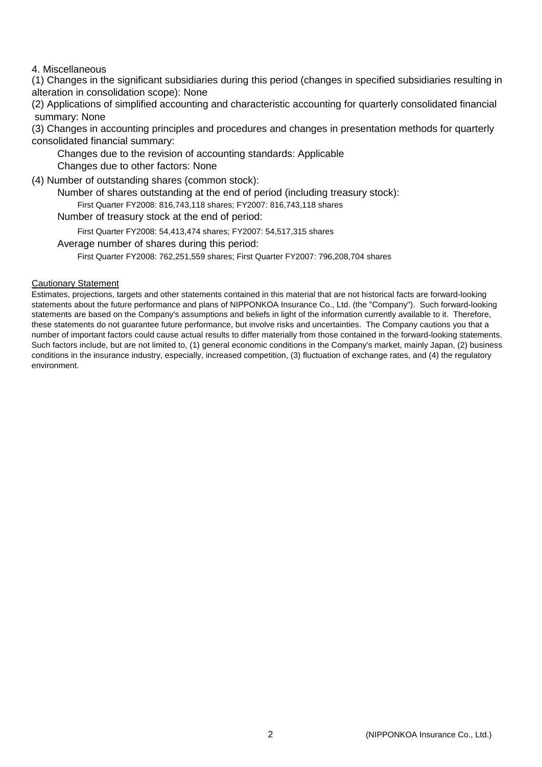#### 4. Miscellaneous

(1) Changes in the significant subsidiaries during this period (changes in specified subsidiaries resulting in alteration in consolidation scope): None

(2) Applications of simplified accounting and characteristic accounting for quarterly consolidated financial summary: None

(3) Changes in accounting principles and procedures and changes in presentation methods for quarterly consolidated financial summary:

Changes due to the revision of accounting standards: Applicable

Changes due to other factors: None

(4) Number of outstanding shares (common stock):

Number of shares outstanding at the end of period (including treasury stock):

First Quarter FY2008: 816,743,118 shares; FY2007: 816,743,118 shares

Number of treasury stock at the end of period:

First Quarter FY2008: 54,413,474 shares; FY2007: 54,517,315 shares

Average number of shares during this period:

First Quarter FY2008: 762,251,559 shares; First Quarter FY2007: 796,208,704 shares

#### Cautionary Statement

Estimates, projections, targets and other statements contained in this material that are not historical facts are forward-looking statements about the future performance and plans of NIPPONKOA Insurance Co., Ltd. (the "Company"). Such forward-looking statements are based on the Company's assumptions and beliefs in light of the information currently available to it. Therefore, these statements do not guarantee future performance, but involve risks and uncertainties. The Company cautions you that a number of important factors could cause actual results to differ materially from those contained in the forward-looking statements. Such factors include, but are not limited to, (1) general economic conditions in the Company's market, mainly Japan, (2) business conditions in the insurance industry, especially, increased competition, (3) fluctuation of exchange rates, and (4) the regulatory environment.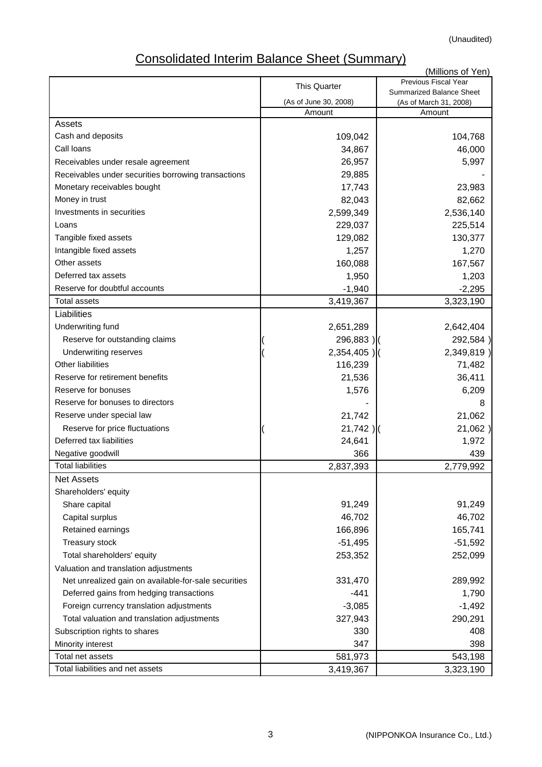(Unaudited)

# Consolidated Interim Balance Sheet (Summary)

|                                                      |                       | (Millions of Yen)                                  |
|------------------------------------------------------|-----------------------|----------------------------------------------------|
|                                                      | <b>This Quarter</b>   | Previous Fiscal Year                               |
|                                                      | (As of June 30, 2008) | Summarized Balance Sheet<br>(As of March 31, 2008) |
|                                                      | Amount                | Amount                                             |
| Assets                                               |                       |                                                    |
| Cash and deposits                                    | 109,042               | 104,768                                            |
| Call Ioans                                           | 34,867                | 46,000                                             |
| Receivables under resale agreement                   | 26,957                | 5,997                                              |
| Receivables under securities borrowing transactions  | 29,885                |                                                    |
| Monetary receivables bought                          | 17,743                | 23,983                                             |
| Money in trust                                       | 82,043                | 82,662                                             |
| Investments in securities                            | 2,599,349             | 2,536,140                                          |
| Loans                                                | 229,037               | 225,514                                            |
| Tangible fixed assets                                | 129,082               | 130,377                                            |
| Intangible fixed assets                              | 1,257                 | 1,270                                              |
| Other assets                                         | 160,088               | 167,567                                            |
| Deferred tax assets                                  | 1,950                 | 1,203                                              |
| Reserve for doubtful accounts                        | $-1,940$              | $-2,295$                                           |
| <b>Total assets</b>                                  | 3,419,367             | 3,323,190                                          |
| Liabilities                                          |                       |                                                    |
| Underwriting fund                                    | 2,651,289             | 2,642,404                                          |
| Reserve for outstanding claims                       | 296,883)              | 292,584)                                           |
| <b>Underwriting reserves</b>                         | $2,354,405$ )         | 2,349,819)                                         |
| <b>Other liabilities</b>                             | 116,239               | 71,482                                             |
| Reserve for retirement benefits                      | 21,536                | 36,411                                             |
| Reserve for bonuses                                  | 1,576                 | 6,209                                              |
| Reserve for bonuses to directors                     |                       | 8                                                  |
| Reserve under special law                            | 21,742                | 21,062                                             |
| Reserve for price fluctuations                       | $21,742$ )            | 21,062)                                            |
| Deferred tax liabilities                             | 24,641                | 1,972                                              |
| Negative goodwill                                    | 366                   | 439                                                |
| <b>Total liabilities</b>                             | 2,837,393             | 2,779,992                                          |
| Net Assets                                           |                       |                                                    |
| Shareholders' equity                                 |                       |                                                    |
| Share capital                                        | 91,249                | 91,249                                             |
| Capital surplus                                      | 46,702                | 46,702                                             |
| Retained earnings                                    | 166,896               | 165,741                                            |
| Treasury stock                                       | $-51,495$             | $-51,592$                                          |
| Total shareholders' equity                           | 253,352               | 252,099                                            |
| Valuation and translation adjustments                |                       |                                                    |
| Net unrealized gain on available-for-sale securities | 331,470               | 289,992                                            |
| Deferred gains from hedging transactions             | $-441$                | 1,790                                              |
| Foreign currency translation adjustments             | $-3,085$              | $-1,492$                                           |
| Total valuation and translation adjustments          | 327,943               | 290,291                                            |
| Subscription rights to shares                        | 330                   | 408                                                |
| Minority interest                                    | 347                   | 398                                                |
| Total net assets                                     | 581,973               | 543,198                                            |
| Total liabilities and net assets                     | 3,419,367             | 3,323,190                                          |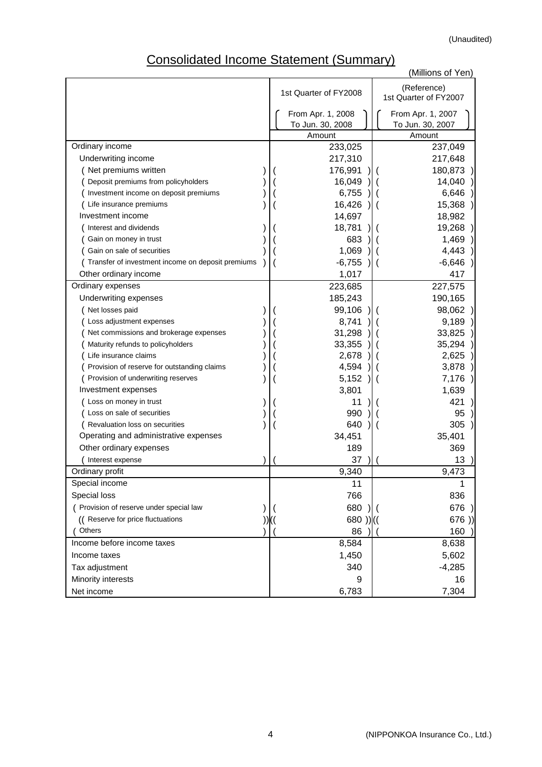# Consolidated Income Statement (Summary)

| יוסטווטטו<br><b>INVOLUTE ORAIGN IN</b>            |  | $\overline{y}$        | (Millions of Yen)     |
|---------------------------------------------------|--|-----------------------|-----------------------|
|                                                   |  |                       | (Reference)           |
|                                                   |  | 1st Quarter of FY2008 | 1st Quarter of FY2007 |
|                                                   |  | From Apr. 1, 2008     | From Apr. 1, 2007     |
|                                                   |  | To Jun. 30, 2008      | To Jun. 30, 2007      |
|                                                   |  | Amount                | Amount                |
| Ordinary income                                   |  | 233,025               | 237,049               |
| Underwriting income                               |  | 217,310               | 217,648               |
| (Net premiums written                             |  | 176,991               | 180,873               |
| Deposit premiums from policyholders               |  | 16,049                | 14,040                |
| Investment income on deposit premiums             |  | 6,755                 | 6,646                 |
| Life insurance premiums                           |  | 16,426                | 15,368                |
| Investment income                                 |  | 14,697                | 18,982                |
| Interest and dividends                            |  | 18,781                | 19,268                |
| Gain on money in trust                            |  | 683                   | 1,469                 |
| Gain on sale of securities                        |  | 1,069                 | 4,443                 |
| Transfer of investment income on deposit premiums |  | $-6,755$              | $-6,646$              |
| Other ordinary income                             |  | 1,017                 | 417                   |
| Ordinary expenses                                 |  | 223,685               | 227,575               |
| Underwriting expenses                             |  | 185,243               | 190,165               |
| Net losses paid                                   |  | 99,106                | 98,062                |
| Loss adjustment expenses                          |  | 8,741                 | 9,189                 |
| Net commissions and brokerage expenses            |  | 31,298                | 33,825                |
| Maturity refunds to policyholders                 |  | 33,355                | 35,294                |
| Life insurance claims                             |  | 2,678                 | 2,625                 |
| Provision of reserve for outstanding claims       |  | 4,594                 | 3,878                 |
| Provision of underwriting reserves                |  | 5,152                 | 7,176                 |
| Investment expenses                               |  | 3,801                 | 1,639                 |
| Loss on money in trust                            |  | 11                    | 421                   |
| Loss on sale of securities                        |  | 990                   | 95                    |
| Revaluation loss on securities                    |  | 640                   | 305                   |
| Operating and administrative expenses             |  | 34,451                | 35,401                |
| Other ordinary expenses                           |  | 189                   | 369                   |
| Interest expense                                  |  | 37                    | 13                    |
| Ordinary profit                                   |  | 9,340                 | 9,473                 |
| Special income                                    |  | 11                    |                       |
| Special loss                                      |  | 766                   | 836                   |
| ( Provision of reserve under special law          |  | 680                   | 676                   |
| (( Reserve for price fluctuations                 |  | $680)$ )((            | 676)                  |
| Others                                            |  | 86                    | 160                   |
| Income before income taxes                        |  | 8,584                 | 8,638                 |
| Income taxes                                      |  | 1,450                 | 5,602                 |
| Tax adjustment                                    |  | 340                   | $-4,285$              |
| Minority interests                                |  | 9                     | 16                    |
| Net income                                        |  | 6,783                 | 7,304                 |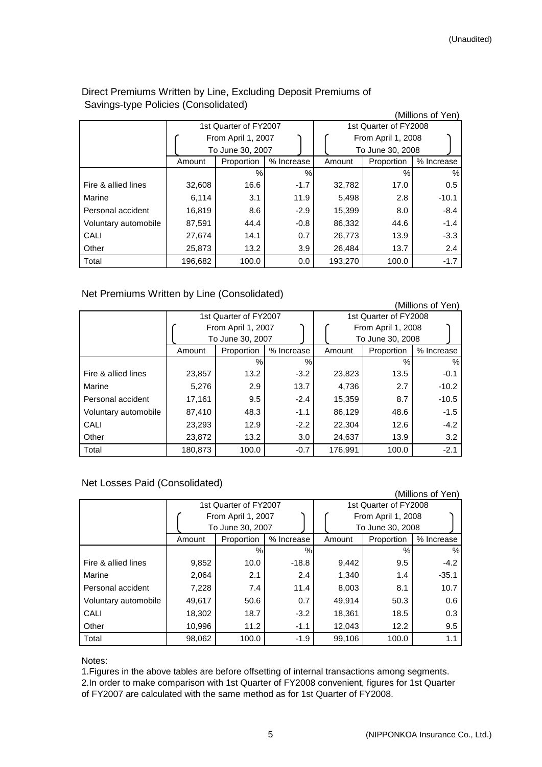### Direct Premiums Written by Line, Excluding Deposit Premiums of Savings-type Policies (Consolidated)

|                      |         |                       |            |         |                       | (Millions of Yen) |
|----------------------|---------|-----------------------|------------|---------|-----------------------|-------------------|
|                      |         | 1st Quarter of FY2007 |            |         | 1st Quarter of FY2008 |                   |
|                      |         | From April 1, 2007    |            |         | From April 1, 2008    |                   |
|                      |         | To June 30, 2007      |            |         | To June 30, 2008      |                   |
|                      | Amount  | Proportion            | % Increase | Amount  | Proportion            | % Increase        |
|                      |         | $\%$                  | $\%$       |         | $\%$                  | %                 |
| Fire & allied lines  | 32,608  | 16.6                  | $-1.7$     | 32,782  | 17.0                  | 0.5               |
| Marine               | 6,114   | 3.1                   | 11.9       | 5,498   | 2.8                   | $-10.1$           |
| Personal accident    | 16,819  | 8.6                   | $-2.9$     | 15,399  | 8.0                   | $-8.4$            |
| Voluntary automobile | 87,591  | 44.4                  | $-0.8$     | 86,332  | 44.6                  | $-1.4$            |
| CALI                 | 27,674  | 14.1                  | 0.7        | 26,773  | 13.9                  | $-3.3$            |
| Other                | 25,873  | 13.2                  | 3.9        | 26,484  | 13.7                  | 2.4               |
| Total                | 196,682 | 100.0                 | 0.0        | 193,270 | 100.0                 | $-1.7$            |

#### Net Premiums Written by Line (Consolidated)

|                      |         |                       |            |                       |                    | (Millions of Yen) |  |
|----------------------|---------|-----------------------|------------|-----------------------|--------------------|-------------------|--|
|                      |         | 1st Quarter of FY2007 |            | 1st Quarter of FY2008 |                    |                   |  |
|                      |         | From April 1, 2007    |            |                       | From April 1, 2008 |                   |  |
|                      |         | To June 30, 2007      |            |                       | To June 30, 2008   |                   |  |
|                      | Amount  | Proportion            | % Increase | Amount                | Proportion         | % Increase        |  |
|                      |         | $\%$                  | %          |                       | %                  | %                 |  |
| Fire & allied lines  | 23,857  | 13.2                  | $-3.2$     | 23,823                | 13.5               | $-0.1$            |  |
| Marine               | 5,276   | 2.9                   | 13.7       | 4,736                 | 2.7                | $-10.2$           |  |
| Personal accident    | 17,161  | 9.5                   | $-2.4$     | 15,359                | 8.7                | $-10.5$           |  |
| Voluntary automobile | 87,410  | 48.3                  | $-1.1$     | 86,129                | 48.6               | $-1.5$            |  |
| CALI                 | 23,293  | 12.9                  | $-2.2$     | 22,304                | 12.6               | $-4.2$            |  |
| Other                | 23,872  | 13.2                  | 3.0        | 24,637                | 13.9               | 3.2               |  |
| Total                | 180.873 | 100.0                 | $-0.7$     | 176.991               | 100.0              | $-2.1$            |  |

## Net Losses Paid (Consolidated)

|                      |        |                       |            |                       |                    | (Millions of Yen) |  |
|----------------------|--------|-----------------------|------------|-----------------------|--------------------|-------------------|--|
|                      |        | 1st Quarter of FY2007 |            | 1st Quarter of FY2008 |                    |                   |  |
|                      |        | From April 1, 2007    |            |                       | From April 1, 2008 |                   |  |
|                      |        | To June 30, 2007      |            |                       | To June 30, 2008   |                   |  |
|                      | Amount | Proportion            | % Increase | Amount                | Proportion         | % Increase        |  |
|                      |        | $\%$                  | $\%$       |                       | %                  | %                 |  |
| Fire & allied lines  | 9,852  | 10.0                  | $-18.8$    | 9,442                 | 9.5                | $-4.2$            |  |
| Marine               | 2,064  | 2.1                   | 2.4        | 1,340                 | 1.4                | $-35.1$           |  |
| Personal accident    | 7,228  | 7.4                   | 11.4       | 8,003                 | 8.1                | 10.7              |  |
| Voluntary automobile | 49,617 | 50.6                  | 0.7        | 49,914                | 50.3               | 0.6               |  |
| CALI                 | 18,302 | 18.7                  | $-3.2$     | 18,361                | 18.5               | 0.3               |  |
| Other                | 10,996 | 11.2                  | $-1.1$     | 12,043                | 12.2               | 9.5               |  |
| Total                | 98,062 | 100.0                 | $-1.9$     | 99,106                | 100.0              | 1.1               |  |

#### Notes:

1.Figures in the above tables are before offsetting of internal transactions among segments. 2.In order to make comparison with 1st Quarter of FY2008 convenient, figures for 1st Quarter of FY2007 are calculated with the same method as for 1st Quarter of FY2008.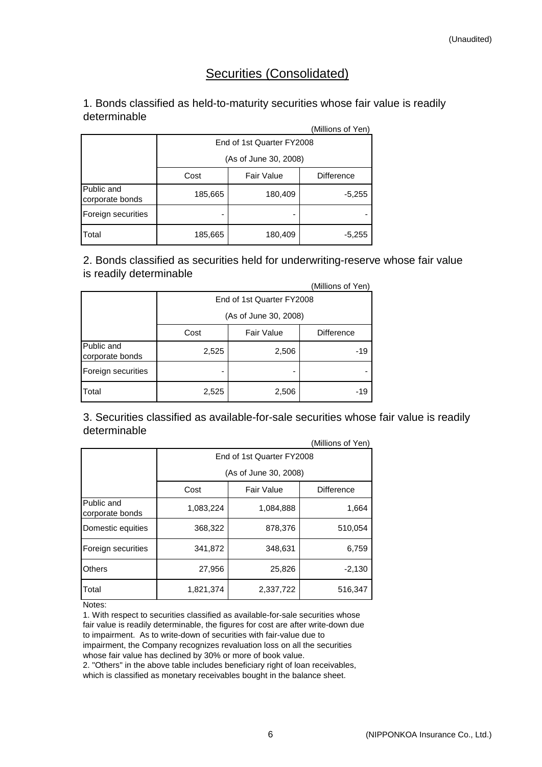# Securities (Consolidated)

## 1. Bonds classified as held-to-maturity securities whose fair value is readily determinable

|                               |                       |                           | (Millions of Yen) |  |  |  |  |  |
|-------------------------------|-----------------------|---------------------------|-------------------|--|--|--|--|--|
|                               |                       | End of 1st Quarter FY2008 |                   |  |  |  |  |  |
|                               | (As of June 30, 2008) |                           |                   |  |  |  |  |  |
|                               | Cost                  | <b>Fair Value</b>         | <b>Difference</b> |  |  |  |  |  |
| Public and<br>corporate bonds | 185,665               | 180,409                   | $-5,255$          |  |  |  |  |  |
| Foreign securities            |                       |                           |                   |  |  |  |  |  |
| <b>T</b> otal                 | 185,665               | 180,409                   | $-5,255$          |  |  |  |  |  |

(Millions of Yen) 2. Bonds classified as securities held for underwriting-reserve whose fair value is readily determinable

|                               |                           |                   | (Millions of Yen) |  |  |  |
|-------------------------------|---------------------------|-------------------|-------------------|--|--|--|
|                               | End of 1st Quarter FY2008 |                   |                   |  |  |  |
|                               | (As of June 30, 2008)     |                   |                   |  |  |  |
|                               | Cost                      | <b>Fair Value</b> | <b>Difference</b> |  |  |  |
| Public and<br>corporate bonds | 2,525                     | 2,506             | -19               |  |  |  |
| Foreign securities            | ۰                         |                   |                   |  |  |  |
| Total                         | 2,525                     | 2,506             | -19               |  |  |  |

 $(0.4:0:$ 3. Securities classified as available-for-sale securities whose fair value is readily determinable

|                               |                           |                       | (Millions of Yen) |  |  |  |  |  |
|-------------------------------|---------------------------|-----------------------|-------------------|--|--|--|--|--|
|                               | End of 1st Quarter FY2008 |                       |                   |  |  |  |  |  |
|                               |                           | (As of June 30, 2008) |                   |  |  |  |  |  |
|                               | Cost                      | <b>Fair Value</b>     | <b>Difference</b> |  |  |  |  |  |
| Public and<br>corporate bonds | 1,083,224                 | 1,084,888             | 1,664             |  |  |  |  |  |
| Domestic equities             | 368,322                   | 878,376               | 510,054           |  |  |  |  |  |
| Foreign securities            | 341,872                   | 348,631               | 6,759             |  |  |  |  |  |
| <b>Others</b>                 | 27,956                    | 25,826                | $-2,130$          |  |  |  |  |  |
| Total                         | 1,821,374                 | 2,337,722             | 516,347           |  |  |  |  |  |

Notes:

1. With respect to securities classified as available-for-sale securities whose fair value is readily determinable, the figures for cost are after write-down due to impairment. As to write-down of securities with fair-value due to impairment, the Company recognizes revaluation loss on all the securities whose fair value has declined by 30% or more of book value.

2. "Others" in the above table includes beneficiary right of loan receivables, which is classified as monetary receivables bought in the balance sheet.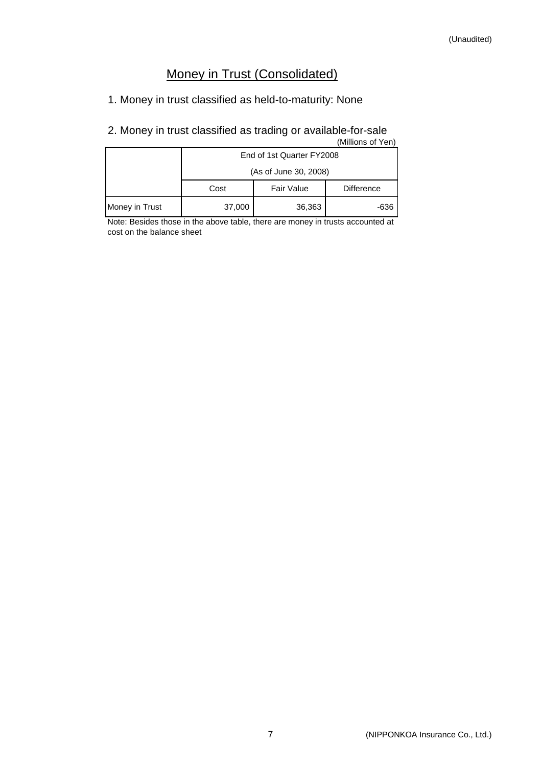# Money in Trust (Consolidated)

1. Money in trust classified as held-to-maturity: None

#### 2. Money in trust classified as trading or available-for-sale (Millions of Yen)

| וושוווטווט טו ד <del>כ</del> ווו |                           |                   |                   |  |  |  |  |  |
|----------------------------------|---------------------------|-------------------|-------------------|--|--|--|--|--|
|                                  | End of 1st Quarter FY2008 |                   |                   |  |  |  |  |  |
|                                  | (As of June 30, 2008)     |                   |                   |  |  |  |  |  |
|                                  | Cost                      | <b>Fair Value</b> | <b>Difference</b> |  |  |  |  |  |
| Money in Trust                   | 37,000                    | 36,363            | -636              |  |  |  |  |  |

Note: Besides those in the above table, there are money in trusts accounted at cost on the balance sheet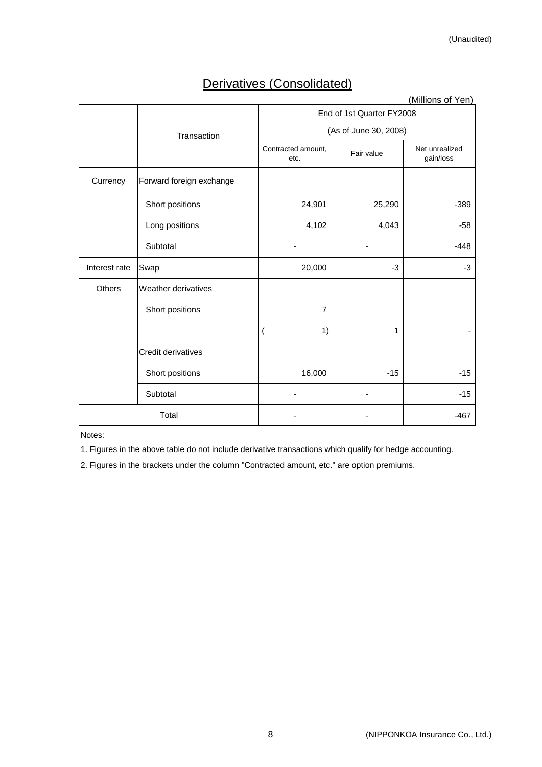# Derivatives (Consolidated)

|               | (Millions of Yen)        |                            |                       |                             |  |  |  |  |
|---------------|--------------------------|----------------------------|-----------------------|-----------------------------|--|--|--|--|
|               |                          | End of 1st Quarter FY2008  |                       |                             |  |  |  |  |
|               | Transaction              |                            | (As of June 30, 2008) |                             |  |  |  |  |
|               |                          | Contracted amount,<br>etc. | Fair value            | Net unrealized<br>gain/loss |  |  |  |  |
| Currency      | Forward foreign exchange |                            |                       |                             |  |  |  |  |
|               | Short positions          | 24,901                     | 25,290                | $-389$                      |  |  |  |  |
|               | Long positions           | 4,102                      | 4,043                 | $-58$                       |  |  |  |  |
|               | Subtotal                 |                            |                       | $-448$                      |  |  |  |  |
| Interest rate | Swap                     | 20,000                     | $-3$                  | $-3$                        |  |  |  |  |
| <b>Others</b> | Weather derivatives      |                            |                       |                             |  |  |  |  |
|               | Short positions          | 7                          |                       |                             |  |  |  |  |
|               |                          | 1)                         | 1                     |                             |  |  |  |  |
|               | Credit derivatives       |                            |                       |                             |  |  |  |  |
|               | Short positions          | 16,000                     | $-15$                 | $-15$                       |  |  |  |  |
|               | Subtotal                 |                            |                       | $-15$                       |  |  |  |  |
|               | Total                    |                            |                       | $-467$                      |  |  |  |  |
|               |                          |                            |                       |                             |  |  |  |  |

Notes:

1. Figures in the above table do not include derivative transactions which qualify for hedge accounting.

2. Figures in the brackets under the column "Contracted amount, etc." are option premiums.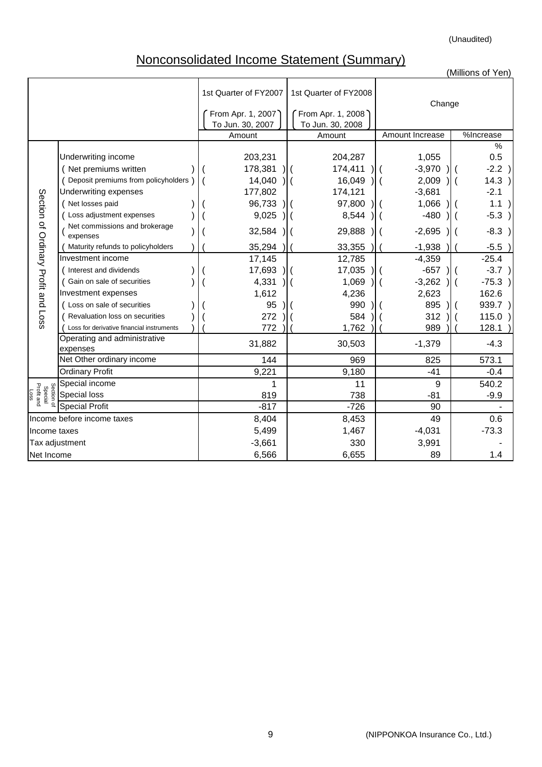(Unaudited)

# Nonconsolidated Income Statement (Summary)

|                                             |                                                                                                                                |                                         |                                         |                                                          | (Millions of Yen)                                                |
|---------------------------------------------|--------------------------------------------------------------------------------------------------------------------------------|-----------------------------------------|-----------------------------------------|----------------------------------------------------------|------------------------------------------------------------------|
|                                             |                                                                                                                                | 1st Quarter of FY2007                   | 1st Quarter of FY2008                   | Change                                                   |                                                                  |
|                                             |                                                                                                                                | From Apr. 1, 2007<br>To Jun. 30, 2007   | From Apr. 1, 2008<br>To Jun. 30, 2008   |                                                          |                                                                  |
|                                             |                                                                                                                                | Amount                                  | Amount                                  | Amount Increase                                          | %Increase                                                        |
|                                             | Underwriting income<br>Net premiums written<br>Deposit premiums from policyholders<br>Underwriting expenses<br>Net losses paid | 203,231<br>178,381<br>14,040<br>177,802 | 204,287<br>174,411<br>16,049<br>174,121 | 1,055<br>$-3,970$<br>2,009<br>$\overline{ }$<br>$-3,681$ | %<br>0.5<br>$-2.2$ )<br>14.3)<br>$\parallel$ (<br>$-2.1$<br>1.1) |
|                                             | Loss adjustment expenses                                                                                                       | 96,733<br>9,025                         | 97,800<br>8,544                         | 1,066<br>$-480$                                          | $-5.3)$                                                          |
| Section of Ordinary Profit and Loss         | Net commissions and brokerage<br>expenses                                                                                      | 32,584                                  | 29,888                                  | $-2,695$                                                 | $-8.3$                                                           |
|                                             | Maturity refunds to policyholders                                                                                              | 35,294                                  | 33,355                                  | $-1,938$                                                 | $-5.5$                                                           |
|                                             | Investment income                                                                                                              | 17,145                                  | 12,785                                  | $-4,359$                                                 | $-25.4$                                                          |
|                                             | Interest and dividends                                                                                                         | 17,693                                  | 17,035                                  | $-657$                                                   | $-3.7$ )                                                         |
|                                             | Gain on sale of securities                                                                                                     | 4,331                                   | 1,069                                   | $-3,262$                                                 | $-75.3$ )                                                        |
|                                             | Investment expenses                                                                                                            | 1,612                                   | 4,236                                   | 2,623                                                    | 162.6                                                            |
|                                             | ( Loss on sale of securities                                                                                                   | 95                                      | 990                                     | 895                                                      | $939.7$ )                                                        |
|                                             | Revaluation loss on securities                                                                                                 | 272                                     | 584                                     | 312                                                      | 115.0                                                            |
|                                             | Loss for derivative financial instruments                                                                                      | 772                                     | 1,762                                   | 989                                                      | 128.1                                                            |
|                                             | Operating and administrative<br>expenses                                                                                       | 31,882                                  | 30,503                                  | $-1,379$                                                 | $-4.3$                                                           |
|                                             | Net Other ordinary income                                                                                                      | 144                                     | 969                                     | 825                                                      | 573.1                                                            |
|                                             | <b>Ordinary Profit</b>                                                                                                         | 9,221                                   | 9,180                                   | $-41$                                                    | $-0.4$                                                           |
|                                             | Special income                                                                                                                 | 1                                       | 11                                      | 9                                                        | 540.2                                                            |
| Section of<br>Special<br>Profit and<br>Loss | Special loss                                                                                                                   | 819                                     | 738                                     | $-81$                                                    | $-9.9$                                                           |
|                                             | <b>Special Profit</b>                                                                                                          | $-817$                                  | $-726$                                  | 90                                                       |                                                                  |
|                                             | Income before income taxes                                                                                                     | 8,404                                   | 8,453                                   | 49                                                       | 0.6                                                              |
| Income taxes                                |                                                                                                                                | 5,499                                   | 1,467                                   | $-4,031$                                                 | $-73.3$                                                          |
| Tax adjustment                              |                                                                                                                                | $-3,661$                                | 330                                     | 3,991                                                    |                                                                  |
| Net Income                                  |                                                                                                                                | 6,566                                   | 6,655                                   | 89                                                       | 1.4                                                              |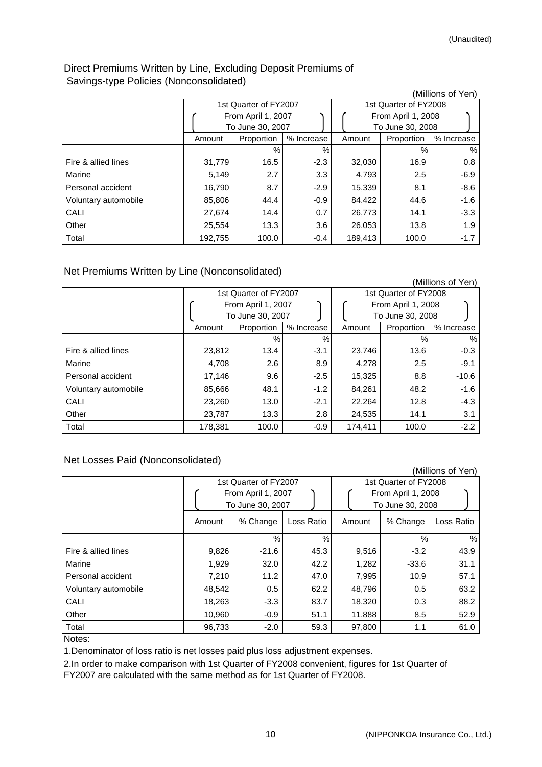### Direct Premiums Written by Line, Excluding Deposit Premiums of Savings-type Policies (Nonconsolidated)

|                      |         |                       |            |         |                       | (Millions of Yen) |
|----------------------|---------|-----------------------|------------|---------|-----------------------|-------------------|
|                      |         | 1st Quarter of FY2007 |            |         | 1st Quarter of FY2008 |                   |
|                      |         | From April 1, 2007    |            |         | From April 1, 2008    |                   |
|                      |         | To June 30, 2007      |            |         | To June 30, 2008      |                   |
|                      | Amount  | Proportion            | % Increase | Amount  | Proportion            | % Increase        |
|                      |         | $\%$                  | $\%$       |         | %                     | $\%$              |
| Fire & allied lines  | 31,779  | 16.5                  | $-2.3$     | 32,030  | 16.9                  | 0.8               |
| Marine               | 5,149   | 2.7                   | 3.3        | 4,793   | 2.5                   | $-6.9$            |
| Personal accident    | 16,790  | 8.7                   | $-2.9$     | 15,339  | 8.1                   | $-8.6$            |
| Voluntary automobile | 85,806  | 44.4                  | $-0.9$     | 84,422  | 44.6                  | $-1.6$            |
| CALI                 | 27,674  | 14.4                  | 0.7        | 26,773  | 14.1                  | $-3.3$            |
| Other                | 25,554  | 13.3                  | 3.6        | 26,053  | 13.8                  | 1.9               |
| Total                | 192,755 | 100.0                 | $-0.4$     | 189,413 | 100.0                 | $-1.7$            |

Net Premiums Written by Line (Nonconsolidated)

|                      |         |                       |            |         |                       | (Millions of Yen) |  |
|----------------------|---------|-----------------------|------------|---------|-----------------------|-------------------|--|
|                      |         | 1st Quarter of FY2007 |            |         | 1st Quarter of FY2008 |                   |  |
|                      |         | From April 1, 2007    |            |         | From April 1, 2008    |                   |  |
|                      |         | To June 30, 2007      |            |         | To June 30, 2008      |                   |  |
|                      | Amount  | Proportion            | % Increase | Amount  | Proportion            | % Increase        |  |
|                      |         | %                     | $\%$       |         | $\%$                  | $\%$              |  |
| Fire & allied lines  | 23,812  | 13.4                  | $-3.1$     | 23,746  | 13.6                  | $-0.3$            |  |
| Marine               | 4,708   | 2.6                   | 8.9        | 4,278   | 2.5                   | $-9.1$            |  |
| Personal accident    | 17,146  | 9.6                   | $-2.5$     | 15,325  | 8.8                   | $-10.6$           |  |
| Voluntary automobile | 85,666  | 48.1                  | $-1.2$     | 84,261  | 48.2                  | $-1.6$            |  |
| CALI                 | 23,260  | 13.0                  | $-2.1$     | 22,264  | 12.8                  | $-4.3$            |  |
| Other                | 23,787  | 13.3                  | 2.8        | 24,535  | 14.1                  | 3.1               |  |
| Total                | 178,381 | 100.0                 | $-0.9$     | 174,411 | 100.0                 | $-2.2$            |  |

## Net Losses Paid (Nonconsolidated)

|                      |                                                                 |               |               |        |                                                                 | (Millions of Yen) |
|----------------------|-----------------------------------------------------------------|---------------|---------------|--------|-----------------------------------------------------------------|-------------------|
|                      | 1st Quarter of FY2007<br>From April 1, 2007<br>To June 30, 2007 |               |               |        | 1st Quarter of FY2008<br>From April 1, 2008<br>To June 30, 2008 |                   |
|                      | Amount                                                          | % Change      | Loss Ratio    | Amount | % Change                                                        | Loss Ratio        |
|                      |                                                                 | $\frac{0}{0}$ | $\frac{0}{0}$ |        | $\%$                                                            | %                 |
| Fire & allied lines  | 9,826                                                           | $-21.6$       | 45.3          | 9,516  | $-3.2$                                                          | 43.9              |
| Marine               | 1,929                                                           | 32.0          | 42.2          | 1,282  | $-33.6$                                                         | 31.1              |
| Personal accident    | 7,210                                                           | 11.2          | 47.0          | 7,995  | 10.9                                                            | 57.1              |
| Voluntary automobile | 48,542                                                          | 0.5           | 62.2          | 48,796 | 0.5                                                             | 63.2              |
| CALI                 | 18,263                                                          | $-3.3$        | 83.7          | 18,320 | 0.3                                                             | 88.2              |
| Other                | 10,960                                                          | $-0.9$        | 51.1          | 11,888 | 8.5                                                             | 52.9              |
| Total                | 96,733                                                          | $-2.0$        | 59.3          | 97,800 | 1.1                                                             | 61.0              |

Notes:

1.Denominator of loss ratio is net losses paid plus loss adjustment expenses.

2.In order to make comparison with 1st Quarter of FY2008 convenient, figures for 1st Quarter of FY2007 are calculated with the same method as for 1st Quarter of FY2008.